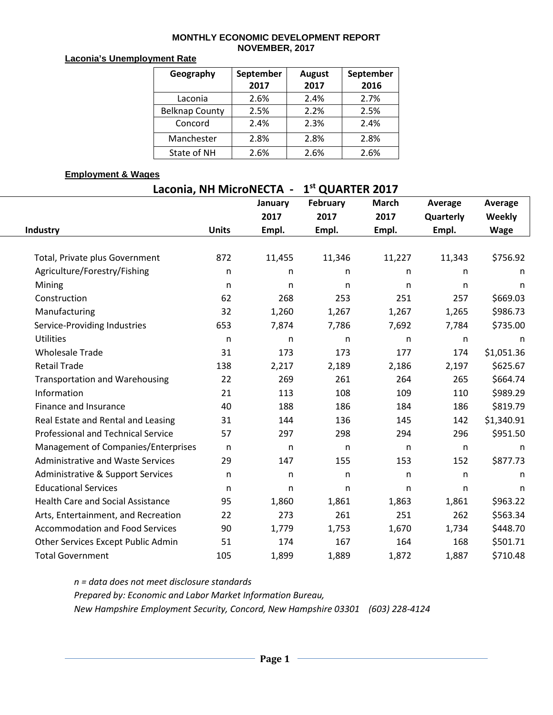### **MONTHLY ECONOMIC DEVELOPMENT REPORT NOVEMBER, 2017**

### **Laconia's Unemployment Rate**

| Geography             | September | <b>August</b> | September |  |  |
|-----------------------|-----------|---------------|-----------|--|--|
|                       | 2017      | 2017          | 2016      |  |  |
| Laconia               | 2.6%      | 2.4%          | 2.7%      |  |  |
| <b>Belknap County</b> | 2.5%      | 2.2%          | 2.5%      |  |  |
| Concord               | 2.4%      | 2.3%          | 2.4%      |  |  |
| Manchester            | 2.8%      | 2.8%          | 2.8%      |  |  |
| State of NH           | 2.6%      | 2.6%          | 2.6%      |  |  |

### **Employment & Wages**

# **Laconia, NH MicroNECTA - 1st QUARTER 2017**

|                                           |              | January      | February     | <b>March</b> | Average   | Average       |
|-------------------------------------------|--------------|--------------|--------------|--------------|-----------|---------------|
|                                           |              | 2017         | 2017         | 2017         | Quarterly | <b>Weekly</b> |
| Industry                                  | <b>Units</b> | Empl.        | Empl.        | Empl.        | Empl.     | <b>Wage</b>   |
|                                           |              |              |              |              |           |               |
| Total, Private plus Government            | 872          | 11,455       | 11,346       | 11,227       | 11,343    | \$756.92      |
| Agriculture/Forestry/Fishing              | $\mathsf{n}$ | n            | n            | $\mathsf{n}$ | n         | n             |
| Mining                                    | n            | n            | n            | n            | n         | n             |
| Construction                              | 62           | 268          | 253          | 251          | 257       | \$669.03      |
| Manufacturing                             | 32           | 1,260        | 1,267        | 1,267        | 1,265     | \$986.73      |
| Service-Providing Industries              | 653          | 7,874        | 7,786        | 7,692        | 7,784     | \$735.00      |
| <b>Utilities</b>                          | $\mathsf{n}$ | $\mathsf{n}$ | n            | $\mathsf{n}$ | n         | n             |
| <b>Wholesale Trade</b>                    | 31           | 173          | 173          | 177          | 174       | \$1,051.36    |
| <b>Retail Trade</b>                       | 138          | 2,217        | 2,189        | 2,186        | 2,197     | \$625.67      |
| <b>Transportation and Warehousing</b>     | 22           | 269          | 261          | 264          | 265       | \$664.74      |
| Information                               | 21           | 113          | 108          | 109          | 110       | \$989.29      |
| Finance and Insurance                     | 40           | 188          | 186          | 184          | 186       | \$819.79      |
| Real Estate and Rental and Leasing        | 31           | 144          | 136          | 145          | 142       | \$1,340.91    |
| <b>Professional and Technical Service</b> | 57           | 297          | 298          | 294          | 296       | \$951.50      |
| Management of Companies/Enterprises       | $\mathsf{n}$ | $\mathsf{n}$ | $\mathsf{n}$ | $\mathsf{n}$ | n         | n             |
| <b>Administrative and Waste Services</b>  | 29           | 147          | 155          | 153          | 152       | \$877.73      |
| Administrative & Support Services         | $\mathsf{n}$ | $\mathsf{n}$ | $\mathsf{n}$ | $\mathsf{n}$ | n.        | n             |
| <b>Educational Services</b>               | $\mathsf{n}$ | $\mathsf{n}$ | n            | $\mathsf{n}$ | n         | n             |
| <b>Health Care and Social Assistance</b>  | 95           | 1,860        | 1,861        | 1,863        | 1,861     | \$963.22      |
| Arts, Entertainment, and Recreation       | 22           | 273          | 261          | 251          | 262       | \$563.34      |
| <b>Accommodation and Food Services</b>    | 90           | 1,779        | 1,753        | 1,670        | 1,734     | \$448.70      |
| Other Services Except Public Admin        | 51           | 174          | 167          | 164          | 168       | \$501.71      |
| <b>Total Government</b>                   | 105          | 1,899        | 1,889        | 1,872        | 1,887     | \$710.48      |

*n = data does not meet disclosure standards Prepared by: Economic and Labor Market Information Bureau, New Hampshire Employment Security, Concord, New Hampshire 03301 (603) 228-4124*